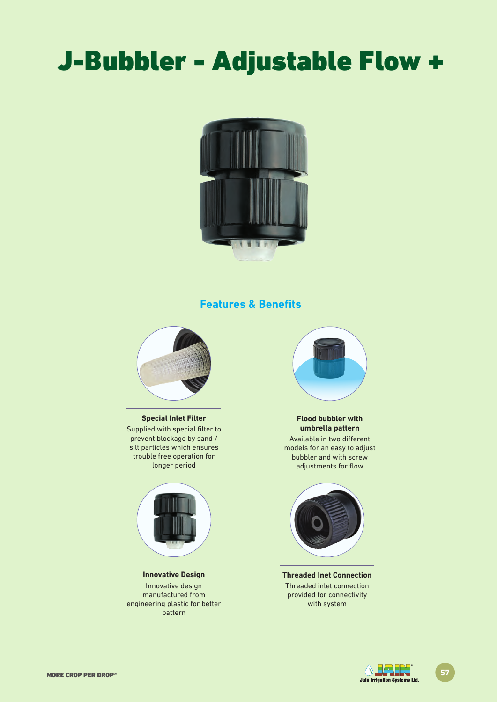# J-Bubbler - Adjustable Flow +



## **Features & Benefits**



#### **Special Inlet Filter**

Supplied with special filter to prevent blockage by sand / silt particles which ensures trouble free operation for longer period



**Innovative Design** Innovative design manufactured from engineering plastic for better pattern



#### **Flood bubbler with umbrella pattern**

Available in two different models for an easy to adjust bubbler and with screw adjustments for flow



**Threaded Inet Connection** Threaded inlet connection provided for connectivity with system